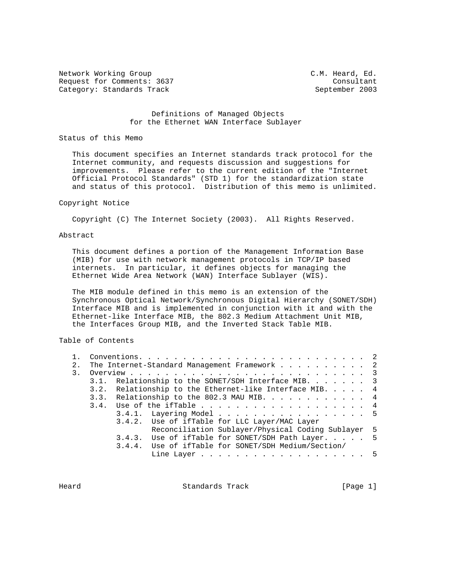Network Working Group C.M. Heard, Ed. Request for Comments: 3637 Consultant Category: Standards Track September 2003

### Definitions of Managed Objects for the Ethernet WAN Interface Sublayer

#### Status of this Memo

 This document specifies an Internet standards track protocol for the Internet community, and requests discussion and suggestions for improvements. Please refer to the current edition of the "Internet Official Protocol Standards" (STD 1) for the standardization state and status of this protocol. Distribution of this memo is unlimited.

#### Copyright Notice

Copyright (C) The Internet Society (2003). All Rights Reserved.

### Abstract

 This document defines a portion of the Management Information Base (MIB) for use with network management protocols in TCP/IP based internets. In particular, it defines objects for managing the Ethernet Wide Area Network (WAN) Interface Sublayer (WIS).

 The MIB module defined in this memo is an extension of the Synchronous Optical Network/Synchronous Digital Hierarchy (SONET/SDH) Interface MIB and is implemented in conjunction with it and with the Ethernet-like Interface MIB, the 802.3 Medium Attachment Unit MIB, the Interfaces Group MIB, and the Inverted Stack Table MIB.

Table of Contents

| 2. | The Internet-Standard Management Framework 2                       |  |
|----|--------------------------------------------------------------------|--|
| 3. |                                                                    |  |
|    | 3.1. Relationship to the SONET/SDH Interface MIB. 3                |  |
|    | 3.2. Relationship to the Ethernet-like Interface MIB. $\ldots$ . 4 |  |
|    | 3.3. Relationship to the 802.3 MAU MIB. 4                          |  |
|    | 3.4. Use of the ifTable 4                                          |  |
|    | 3.4.1. Layering Model 5                                            |  |
|    | 3.4.2. Use of ifTable for LLC Layer/MAC Layer                      |  |
|    | Reconciliation Sublayer/Physical Coding Sublayer 5                 |  |
|    | 3.4.3. Use of if Table for SONET/SDH Path Layer. 5                 |  |
|    | 3.4.4. Use of ifTable for SONET/SDH Medium/Section/                |  |
|    |                                                                    |  |
|    |                                                                    |  |

Heard **Standards Track** [Page 1]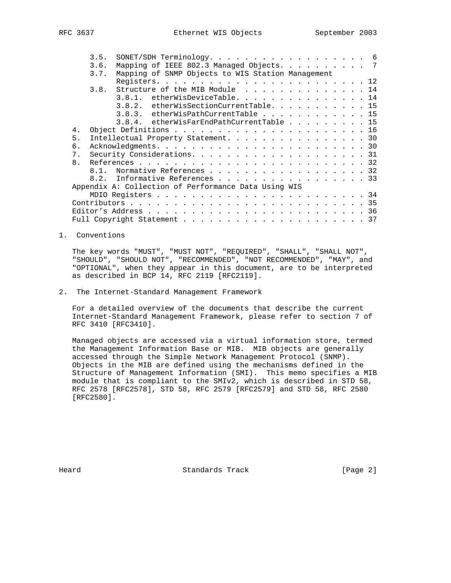|    | 3.5. | SONET/SDH Terminology. 6                             |  |  |  |  |  |  |  |  |  |
|----|------|------------------------------------------------------|--|--|--|--|--|--|--|--|--|
|    | 3.6. | Mapping of IEEE 802.3 Managed Objects. 7             |  |  |  |  |  |  |  |  |  |
|    | 3.7. | Mapping of SNMP Objects to WIS Station Management    |  |  |  |  |  |  |  |  |  |
|    |      |                                                      |  |  |  |  |  |  |  |  |  |
|    | 3.8. | Structure of the MIB Module 14                       |  |  |  |  |  |  |  |  |  |
|    |      | 3.8.1. etherWisDeviceTable. 14                       |  |  |  |  |  |  |  |  |  |
|    |      | 3.8.2. etherWisSectionCurrentTable. 15               |  |  |  |  |  |  |  |  |  |
|    |      | 3.8.3. etherWisPathCurrentTable 15                   |  |  |  |  |  |  |  |  |  |
|    |      | 3.8.4. etherWisFarEndPathCurrentTable 15             |  |  |  |  |  |  |  |  |  |
| 4. |      |                                                      |  |  |  |  |  |  |  |  |  |
| 5. |      | Intellectual Property Statement. 30                  |  |  |  |  |  |  |  |  |  |
| 6. |      |                                                      |  |  |  |  |  |  |  |  |  |
| 7. |      |                                                      |  |  |  |  |  |  |  |  |  |
| 8. |      |                                                      |  |  |  |  |  |  |  |  |  |
|    |      | 8.1. Normative References 32                         |  |  |  |  |  |  |  |  |  |
|    |      | 8.2. Informative References 33                       |  |  |  |  |  |  |  |  |  |
|    |      | Appendix A: Collection of Performance Data Using WIS |  |  |  |  |  |  |  |  |  |
|    |      |                                                      |  |  |  |  |  |  |  |  |  |
|    |      |                                                      |  |  |  |  |  |  |  |  |  |
|    |      |                                                      |  |  |  |  |  |  |  |  |  |
|    |      |                                                      |  |  |  |  |  |  |  |  |  |
|    |      |                                                      |  |  |  |  |  |  |  |  |  |

1. Conventions

 The key words "MUST", "MUST NOT", "REQUIRED", "SHALL", "SHALL NOT", "SHOULD", "SHOULD NOT", "RECOMMENDED", "NOT RECOMMENDED", "MAY", and "OPTIONAL", when they appear in this document, are to be interpreted as described in BCP 14, RFC 2119 [RFC2119].

2. The Internet-Standard Management Framework

 For a detailed overview of the documents that describe the current Internet-Standard Management Framework, please refer to section 7 of RFC 3410 [RFC3410].

 Managed objects are accessed via a virtual information store, termed the Management Information Base or MIB. MIB objects are generally accessed through the Simple Network Management Protocol (SNMP). Objects in the MIB are defined using the mechanisms defined in the Structure of Management Information (SMI). This memo specifies a MIB module that is compliant to the SMIv2, which is described in STD 58, RFC 2578 [RFC2578], STD 58, RFC 2579 [RFC2579] and STD 58, RFC 2580 [RFC2580].

Heard **Standards Track** [Page 2]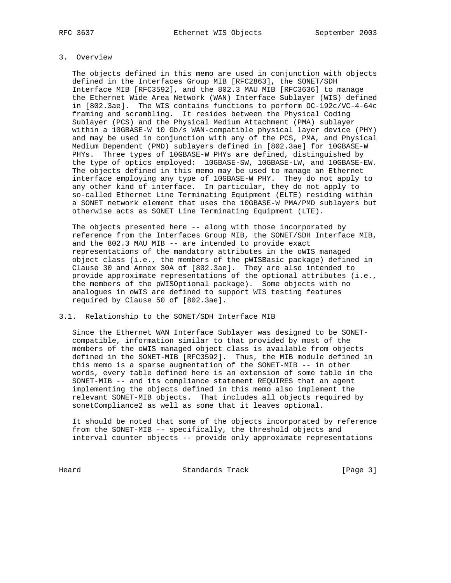# 3. Overview

 The objects defined in this memo are used in conjunction with objects defined in the Interfaces Group MIB [RFC2863], the SONET/SDH Interface MIB [RFC3592], and the 802.3 MAU MIB [RFC3636] to manage the Ethernet Wide Area Network (WAN) Interface Sublayer (WIS) defined in [802.3ae]. The WIS contains functions to perform OC-192c/VC-4-64c framing and scrambling. It resides between the Physical Coding Sublayer (PCS) and the Physical Medium Attachment (PMA) sublayer within a 10GBASE-W 10 Gb/s WAN-compatible physical layer device (PHY) and may be used in conjunction with any of the PCS, PMA, and Physical Medium Dependent (PMD) sublayers defined in [802.3ae] for 10GBASE-W PHYs. Three types of 10GBASE-W PHYs are defined, distinguished by the type of optics employed: 10GBASE-SW, 10GBASE-LW, and 10GBASE-EW. The objects defined in this memo may be used to manage an Ethernet interface employing any type of 10GBASE-W PHY. They do not apply to any other kind of interface. In particular, they do not apply to so-called Ethernet Line Terminating Equipment (ELTE) residing within a SONET network element that uses the 10GBASE-W PMA/PMD sublayers but otherwise acts as SONET Line Terminating Equipment (LTE).

 The objects presented here -- along with those incorporated by reference from the Interfaces Group MIB, the SONET/SDH Interface MIB, and the 802.3 MAU MIB -- are intended to provide exact representations of the mandatory attributes in the oWIS managed object class (i.e., the members of the pWISBasic package) defined in Clause 30 and Annex 30A of [802.3ae]. They are also intended to provide approximate representations of the optional attributes (i.e., the members of the pWISOptional package). Some objects with no analogues in oWIS are defined to support WIS testing features required by Clause 50 of [802.3ae].

## 3.1. Relationship to the SONET/SDH Interface MIB

 Since the Ethernet WAN Interface Sublayer was designed to be SONET compatible, information similar to that provided by most of the members of the oWIS managed object class is available from objects defined in the SONET-MIB [RFC3592]. Thus, the MIB module defined in this memo is a sparse augmentation of the SONET-MIB -- in other words, every table defined here is an extension of some table in the SONET-MIB -- and its compliance statement REQUIRES that an agent implementing the objects defined in this memo also implement the relevant SONET-MIB objects. That includes all objects required by sonetCompliance2 as well as some that it leaves optional.

 It should be noted that some of the objects incorporated by reference from the SONET-MIB -- specifically, the threshold objects and interval counter objects -- provide only approximate representations

Heard Standards Track [Page 3]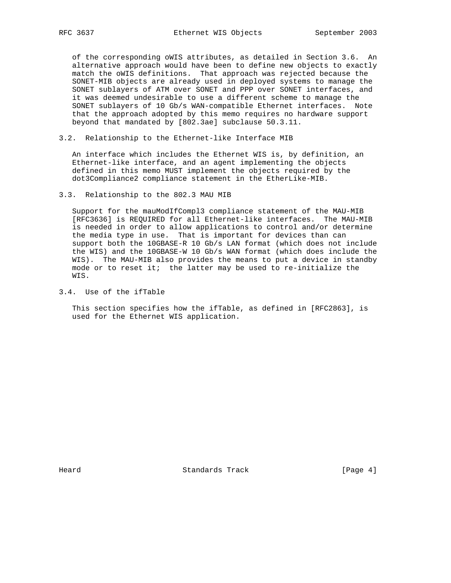of the corresponding oWIS attributes, as detailed in Section 3.6. An alternative approach would have been to define new objects to exactly match the oWIS definitions. That approach was rejected because the SONET-MIB objects are already used in deployed systems to manage the SONET sublayers of ATM over SONET and PPP over SONET interfaces, and it was deemed undesirable to use a different scheme to manage the SONET sublayers of 10 Gb/s WAN-compatible Ethernet interfaces. Note that the approach adopted by this memo requires no hardware support beyond that mandated by [802.3ae] subclause 50.3.11.

3.2. Relationship to the Ethernet-like Interface MIB

 An interface which includes the Ethernet WIS is, by definition, an Ethernet-like interface, and an agent implementing the objects defined in this memo MUST implement the objects required by the dot3Compliance2 compliance statement in the EtherLike-MIB.

3.3. Relationship to the 802.3 MAU MIB

 Support for the mauModIfCompl3 compliance statement of the MAU-MIB [RFC3636] is REQUIRED for all Ethernet-like interfaces. The MAU-MIB is needed in order to allow applications to control and/or determine the media type in use. That is important for devices than can support both the 10GBASE-R 10 Gb/s LAN format (which does not include the WIS) and the 10GBASE-W 10 Gb/s WAN format (which does include the WIS). The MAU-MIB also provides the means to put a device in standby mode or to reset it; the latter may be used to re-initialize the WIS.

3.4. Use of the ifTable

 This section specifies how the ifTable, as defined in [RFC2863], is used for the Ethernet WIS application.

Heard Standards Track [Page 4]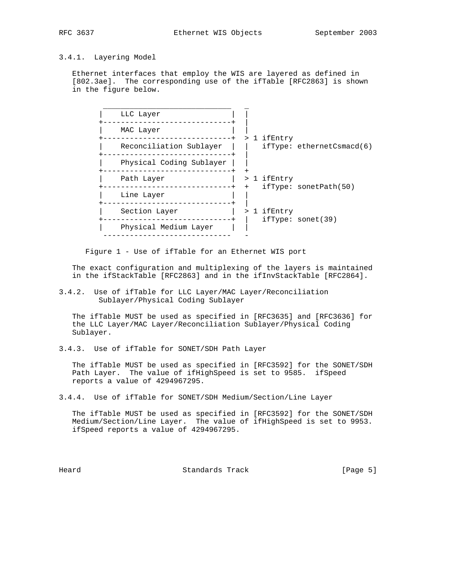# 3.4.1. Layering Model

 Ethernet interfaces that employ the WIS are layered as defined in [802.3ae]. The corresponding use of the ifTable [RFC2863] is shown in the figure below.

| LLC Layer                |     |             |                                                   |
|--------------------------|-----|-------------|---------------------------------------------------|
| MAC Layer                |     |             |                                                   |
| Reconciliation Sublayer  |     | > 1 ifEntry | $ifType: \, \, \text{ethernet} \, \text{Smod}(6)$ |
| Physical Coding Sublayer |     |             |                                                   |
| Path Layer               | $+$ | > 1 ifEntry | ifType: sonetPath(50)                             |
| Line Layer               |     |             |                                                   |
| Section Layer            |     | > 1 ifEntry | ifType: sonet(39)                                 |
| Physical Medium Layer    |     |             |                                                   |
|                          |     |             |                                                   |

Figure 1 - Use of ifTable for an Ethernet WIS port

 The exact configuration and multiplexing of the layers is maintained in the ifStackTable [RFC2863] and in the ifInvStackTable [RFC2864].

3.4.2. Use of ifTable for LLC Layer/MAC Layer/Reconciliation Sublayer/Physical Coding Sublayer

 The ifTable MUST be used as specified in [RFC3635] and [RFC3636] for the LLC Layer/MAC Layer/Reconciliation Sublayer/Physical Coding Sublayer.

3.4.3. Use of ifTable for SONET/SDH Path Layer

 The ifTable MUST be used as specified in [RFC3592] for the SONET/SDH Path Layer. The value of ifHighSpeed is set to 9585. ifSpeed reports a value of 4294967295.

3.4.4. Use of ifTable for SONET/SDH Medium/Section/Line Layer

 The ifTable MUST be used as specified in [RFC3592] for the SONET/SDH Medium/Section/Line Layer. The value of ifHighSpeed is set to 9953. ifSpeed reports a value of 4294967295.

Heard **Standards Track** [Page 5]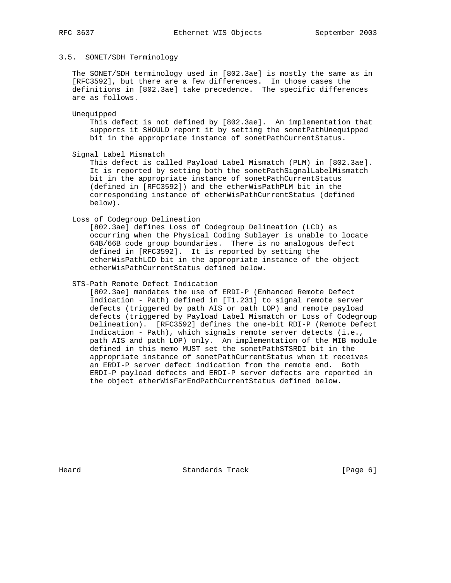## 3.5. SONET/SDH Terminology

 The SONET/SDH terminology used in [802.3ae] is mostly the same as in [RFC3592], but there are a few differences. In those cases the definitions in [802.3ae] take precedence. The specific differences are as follows.

Unequipped

 This defect is not defined by [802.3ae]. An implementation that supports it SHOULD report it by setting the sonetPathUnequipped bit in the appropriate instance of sonetPathCurrentStatus.

Signal Label Mismatch

 This defect is called Payload Label Mismatch (PLM) in [802.3ae]. It is reported by setting both the sonetPathSignalLabelMismatch bit in the appropriate instance of sonetPathCurrentStatus (defined in [RFC3592]) and the etherWisPathPLM bit in the corresponding instance of etherWisPathCurrentStatus (defined below).

Loss of Codegroup Delineation

 [802.3ae] defines Loss of Codegroup Delineation (LCD) as occurring when the Physical Coding Sublayer is unable to locate 64B/66B code group boundaries. There is no analogous defect defined in [RFC3592]. It is reported by setting the etherWisPathLCD bit in the appropriate instance of the object etherWisPathCurrentStatus defined below.

# STS-Path Remote Defect Indication

 [802.3ae] mandates the use of ERDI-P (Enhanced Remote Defect Indication - Path) defined in [T1.231] to signal remote server defects (triggered by path AIS or path LOP) and remote payload defects (triggered by Payload Label Mismatch or Loss of Codegroup Delineation). [RFC3592] defines the one-bit RDI-P (Remote Defect Indication - Path), which signals remote server detects (i.e., path AIS and path LOP) only. An implementation of the MIB module defined in this memo MUST set the sonetPathSTSRDI bit in the appropriate instance of sonetPathCurrentStatus when it receives an ERDI-P server defect indication from the remote end. Both ERDI-P payload defects and ERDI-P server defects are reported in the object etherWisFarEndPathCurrentStatus defined below.

Heard **Standards Track** [Page 6]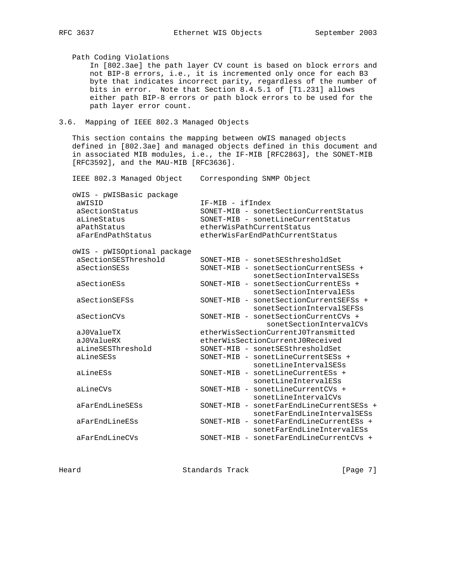Path Coding Violations In [802.3ae] the path layer CV count is based on block errors and not BIP-8 errors, i.e., it is incremented only once for each B3 byte that indicates incorrect parity, regardless of the number of bits in error. Note that Section 8.4.5.1 of [T1.231] allows either path BIP-8 errors or path block errors to be used for the path layer error count. 3.6. Mapping of IEEE 802.3 Managed Objects This section contains the mapping between oWIS managed objects defined in [802.3ae] and managed objects defined in this document and in associated MIB modules, i.e., the IF-MIB [RFC2863], the SONET-MIB [RFC3592], and the MAU-MIB [RFC3636]. IEEE 802.3 Managed Object Corresponding SNMP Object oWIS - pWISBasic package aWISID  $IF-MIB - ifIndex$ <br>
aSectionStatus SONET-MIB - sonet<br>
aLineStatus SONET-MIB - sonet<br>
aPathStatus etherWisPathCurre SONET-MIB - sonetSectionCurrentStatus SONET-MIB - sonetLineCurrentStatus aPathStatus etherWisPathCurrentStatus<br>aFarEndPathStatus etherWisFarEndPathCurrent aFarEndPathStatus etherWisFarEndPathCurrentStatus oWIS - pWISOptional package aSectionSESThreshold SONET-MIB - sonetSESthresholdSet aSectionSESs SONET-MIB - sonetSectionCurrentSESs + sonetSectionCurrentSESs<br>sonetSectionIntervalSESs aSectionESs SONET-MIB - sonetSectionCurrentESs + sonetSectionIntervalESs aSectionSEFSs SONET-MIB - sonetSectionCurrentSEFSs + sonetSectionIntervalSEFSs aSectionCVs SONET-MIB - sonetSectionCurrentCVs + sonetSectionIntervalCVs aJ0ValueTX etherWisSectionCurrentJ0Transmitted aJ0ValueRX etherWisSectionCurrentJ0Received<br>aLineSESThreshold SONET-MIB - sonetSESthresholdSet SONET-MIB - sonetSESthresholdSet aLineSESs SONET-MIB - sonetLineCurrentSESs + sonetLineIntervalSESs aLineESs SONET-MIB - sonetLineCurrentESs +

 sonetLineIntervalESs aLineCVs SONET-MIB - sonetLineCurrentCVs + sonetLineIntervalCVs aFarEndLineSESs SONET-MIB - sonetFarEndLineCurrentSESs + sonetFarEndLineIntervalSESs aFarEndLineESs SONET-MIB - sonetFarEndLineCurrentESs + sonetFarEndLineIntervalESs aFarEndLineCVs SONET-MIB - sonetFarEndLineCurrentCVs +

Heard **Standards Track** [Page 7]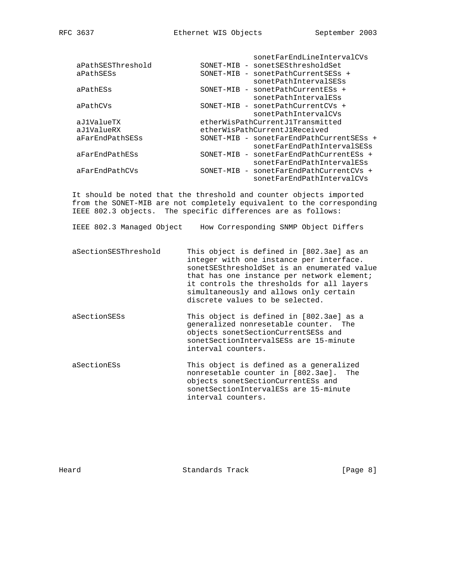|                   |           | sonetFarEndLineIntervalCVs               |
|-------------------|-----------|------------------------------------------|
| aPathSESThreshold | SONET-MIB | - sonetSESthresholdSet                   |
| aPathSESs         | SONET-MIB | - sonetPathCurrentSESs +                 |
|                   |           | sonetPathIntervalSESs                    |
| aPathESs          | SONET-MIB | - sonetPathCurrentESs +                  |
|                   |           | sonetPathIntervalESs                     |
| aPathCVs          |           | SONET-MIB - sonetPathCurrentCVs +        |
|                   |           | sonetPathIntervalCVs                     |
| aJ1ValueTX        |           | etherWisPathCurrentJ1Transmitted         |
| aJ1ValueRX        |           | etherWisPathCurrentJ1Received            |
| aFarEndPathSESs   |           | SONET-MIB - sonetFarEndPathCurrentSESs + |
|                   |           | sonetFarEndPathIntervalSESs              |
| aFarEndPathESs    | SONET-MIB | - sonetFarEndPathCurrentESs +            |
|                   |           | sonetFarEndPathIntervalESs               |
| aFarEndPathCVs    | SONET-MIB | - sonetFarEndPathCurrentCVs +            |
|                   |           | sonetFarEndPathIntervalCVs               |

 It should be noted that the threshold and counter objects imported from the SONET-MIB are not completely equivalent to the corresponding IEEE 802.3 objects. The specific differences are as follows:

IEEE 802.3 Managed Object How Corresponding SNMP Object Differs

- aSectionSESThreshold This object is defined in [802.3ae] as an integer with one instance per interface. sonetSESthresholdSet is an enumerated value that has one instance per network element; it controls the thresholds for all layers simultaneously and allows only certain discrete values to be selected.
- aSectionSESs This object is defined in [802.3ae] as a generalized nonresetable counter. The objects sonetSectionCurrentSESs and sonetSectionIntervalSESs are 15-minute interval counters.
- aSectionESs This object is defined as a generalized nonresetable counter in [802.3ae]. The objects sonetSectionCurrentESs and sonetSectionIntervalESs are 15-minute interval counters.

Heard **Standards Track** [Page 8]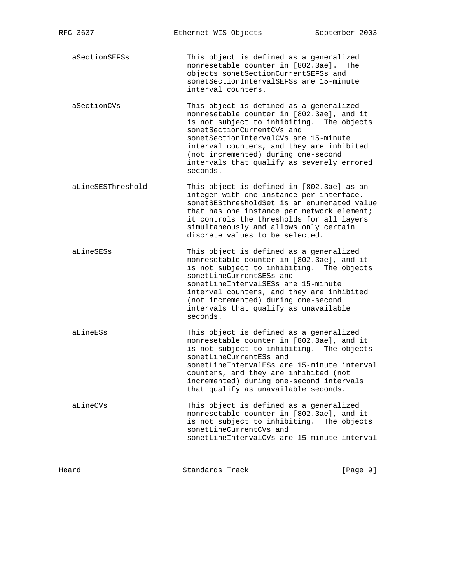aSectionSEFSs This object is defined as a generalized nonresetable counter in [802.3ae]. The objects sonetSectionCurrentSEFSs and sonetSectionIntervalSEFSs are 15-minute interval counters.

 aSectionCVs This object is defined as a generalized nonresetable counter in [802.3ae], and it is not subject to inhibiting. The objects sonetSectionCurrentCVs and sonetSectionIntervalCVs are 15-minute interval counters, and they are inhibited (not incremented) during one-second intervals that qualify as severely errored seconds.

 aLineSESThreshold This object is defined in [802.3ae] as an integer with one instance per interface. sonetSESthresholdSet is an enumerated value that has one instance per network element; it controls the thresholds for all layers simultaneously and allows only certain discrete values to be selected.

 aLineSESs This object is defined as a generalized nonresetable counter in [802.3ae], and it is not subject to inhibiting. The objects sonetLineCurrentSESs and sonetLineIntervalSESs are 15-minute interval counters, and they are inhibited (not incremented) during one-second intervals that qualify as unavailable seconds.

 aLineESs This object is defined as a generalized nonresetable counter in [802.3ae], and it is not subject to inhibiting. The objects sonetLineCurrentESs and sonetLineIntervalESs are 15-minute interval counters, and they are inhibited (not incremented) during one-second intervals that qualify as unavailable seconds.

 aLineCVs This object is defined as a generalized nonresetable counter in [802.3ae], and it is not subject to inhibiting. The objects sonetLineCurrentCVs and sonetLineIntervalCVs are 15-minute interval

Heard **Standards Track** [Page 9]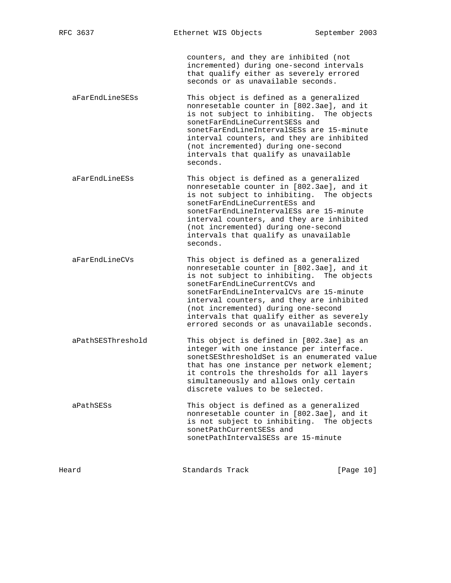counters, and they are inhibited (not incremented) during one-second intervals that qualify either as severely errored seconds or as unavailable seconds.

 aFarEndLineSESs This object is defined as a generalized nonresetable counter in [802.3ae], and it is not subject to inhibiting. The objects sonetFarEndLineCurrentSESs and sonetFarEndLineIntervalSESs are 15-minute interval counters, and they are inhibited (not incremented) during one-second intervals that qualify as unavailable seconds.

- aFarEndLineESs This object is defined as a generalized nonresetable counter in [802.3ae], and it is not subject to inhibiting. The objects sonetFarEndLineCurrentESs and sonetFarEndLineIntervalESs are 15-minute interval counters, and they are inhibited (not incremented) during one-second intervals that qualify as unavailable seconds.
- aFarEndLineCVs This object is defined as a generalized nonresetable counter in [802.3ae], and it is not subject to inhibiting. The objects sonetFarEndLineCurrentCVs and sonetFarEndLineIntervalCVs are 15-minute interval counters, and they are inhibited (not incremented) during one-second intervals that qualify either as severely errored seconds or as unavailable seconds.
- aPathSESThreshold This object is defined in [802.3ae] as an integer with one instance per interface. sonetSESthresholdSet is an enumerated value that has one instance per network element; it controls the thresholds for all layers simultaneously and allows only certain discrete values to be selected.
- aPathSESs This object is defined as a generalized nonresetable counter in [802.3ae], and it is not subject to inhibiting. The objects sonetPathCurrentSESs and sonetPathIntervalSESs are 15-minute

| Heard | Standards Track | [Page 10] |  |
|-------|-----------------|-----------|--|
|       |                 |           |  |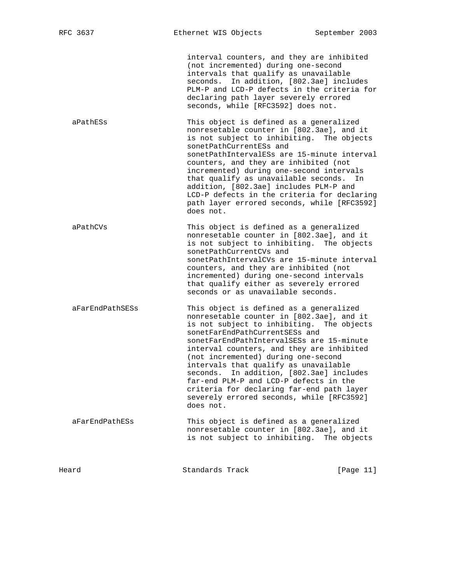interval counters, and they are inhibited (not incremented) during one-second intervals that qualify as unavailable seconds. In addition, [802.3ae] includes PLM-P and LCD-P defects in the criteria for declaring path layer severely errored seconds, while [RFC3592] does not.

 aPathESs This object is defined as a generalized nonresetable counter in [802.3ae], and it is not subject to inhibiting. The objects sonetPathCurrentESs and sonetPathIntervalESs are 15-minute interval counters, and they are inhibited (not incremented) during one-second intervals that qualify as unavailable seconds. In addition, [802.3ae] includes PLM-P and LCD-P defects in the criteria for declaring path layer errored seconds, while [RFC3592] does not.

 aPathCVs This object is defined as a generalized nonresetable counter in [802.3ae], and it is not subject to inhibiting. The objects sonetPathCurrentCVs and sonetPathIntervalCVs are 15-minute interval counters, and they are inhibited (not incremented) during one-second intervals that qualify either as severely errored seconds or as unavailable seconds.

 aFarEndPathSESs This object is defined as a generalized nonresetable counter in [802.3ae], and it is not subject to inhibiting. The objects sonetFarEndPathCurrentSESs and sonetFarEndPathIntervalSESs are 15-minute interval counters, and they are inhibited (not incremented) during one-second intervals that qualify as unavailable seconds. In addition, [802.3ae] includes far-end PLM-P and LCD-P defects in the criteria for declaring far-end path layer severely errored seconds, while [RFC3592] does not.

 aFarEndPathESs This object is defined as a generalized nonresetable counter in [802.3ae], and it is not subject to inhibiting. The objects

Heard **Standards Track** [Page 11]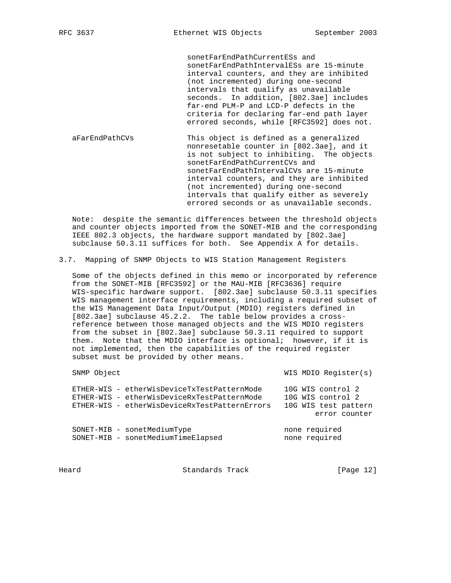sonetFarEndPathCurrentESs and sonetFarEndPathIntervalESs are 15-minute interval counters, and they are inhibited (not incremented) during one-second intervals that qualify as unavailable seconds. In addition, [802.3ae] includes far-end PLM-P and LCD-P defects in the criteria for declaring far-end path layer errored seconds, while [RFC3592] does not.

 aFarEndPathCVs This object is defined as a generalized nonresetable counter in [802.3ae], and it is not subject to inhibiting. The objects sonetFarEndPathCurrentCVs and sonetFarEndPathIntervalCVs are 15-minute interval counters, and they are inhibited (not incremented) during one-second intervals that qualify either as severely errored seconds or as unavailable seconds.

 Note: despite the semantic differences between the threshold objects and counter objects imported from the SONET-MIB and the corresponding IEEE 802.3 objects, the hardware support mandated by [802.3ae] subclause 50.3.11 suffices for both. See Appendix A for details.

3.7. Mapping of SNMP Objects to WIS Station Management Registers

 Some of the objects defined in this memo or incorporated by reference from the SONET-MIB [RFC3592] or the MAU-MIB [RFC3636] require WIS-specific hardware support. [802.3ae] subclause 50.3.11 specifies WIS management interface requirements, including a required subset of the WIS Management Data Input/Output (MDIO) registers defined in [802.3ae] subclause 45.2.2. The table below provides a cross reference between those managed objects and the WIS MDIO registers from the subset in [802.3ae] subclause 50.3.11 required to support them. Note that the MDIO interface is optional; however, if it is not implemented, then the capabilities of the required register subset must be provided by other means.

SNMP Object WIS MDIO Register(s)

| ETHER-WIS - etherWisDeviceTxTestPatternMode<br>ETHER-WIS - etherWisDeviceRxTestPatternMode<br>ETHER-WIS - etherWisDeviceRxTestPatternErrors | 10G WIS control 2<br>10G WIS control 2<br>10G WIS test pattern<br>error counter |
|---------------------------------------------------------------------------------------------------------------------------------------------|---------------------------------------------------------------------------------|
| SONET-MIB - sonetMediumType                                                                                                                 | none required                                                                   |
| SONET-MIB - sonetMediumTimeElapsed                                                                                                          | none required                                                                   |

Heard Standards Track [Page 12]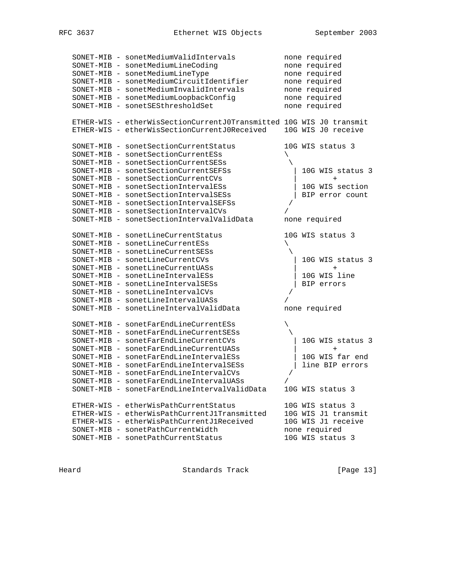|  | SONET-MIB - sonetMediumValidIntervals                               |            | none required       |
|--|---------------------------------------------------------------------|------------|---------------------|
|  | SONET-MIB - sonetMediumLineCoding                                   |            | none required       |
|  | SONET-MIB - sonetMediumLineType                                     |            | none required       |
|  | SONET-MIB - sonetMediumCircuitIdentifier                            |            | none required       |
|  | SONET-MIB - sonetMediumInvalidIntervals                             |            | none required       |
|  | SONET-MIB - sonetMediumLoopbackConfig                               |            | none required       |
|  | SONET-MIB - sonetSESthresholdSet                                    |            | none required       |
|  |                                                                     |            |                     |
|  | ETHER-WIS - etherWisSectionCurrentJ0Transmitted 10G WIS J0 transmit |            |                     |
|  | ETHER-WIS - etherWisSectionCurrentJ0Received 10G WIS J0 receive     |            |                     |
|  |                                                                     |            |                     |
|  | SONET-MIB - sonetSectionCurrentStatus                               |            | 10G WIS status 3    |
|  | SONET-MIB - sonetSectionCurrentESs                                  |            |                     |
|  | SONET-MIB - sonetSectionCurrentSESs                                 |            |                     |
|  | SONET-MIB - sonetSectionCurrentSEFSs                                |            | 10G WIS status 3    |
|  | SONET-MIB - sonetSectionCurrentCVs                                  |            | $^{+}$              |
|  | SONET-MIB - sonetSectionIntervalESs                                 |            | 10G WIS section     |
|  | SONET-MIB - sonetSectionIntervalSESs                                |            |                     |
|  |                                                                     |            | BIP error count     |
|  | SONET-MIB - sonetSectionIntervalSEFSs                               | $\sqrt{2}$ |                     |
|  | SONET-MIB - sonetSectionIntervalCVs                                 |            |                     |
|  | SONET-MIB - sonetSectionIntervalValidData                           |            | none required       |
|  |                                                                     |            |                     |
|  | SONET-MIB - sonetLineCurrentStatus                                  |            | 10G WIS status 3    |
|  | SONET-MIB - sonetLineCurrentESs                                     |            |                     |
|  | SONET-MIB - sonetLineCurrentSESs                                    |            |                     |
|  | SONET-MIB - sonetLineCurrentCVs                                     |            | 10G WIS status 3    |
|  | SONET-MIB - sonetLineCurrentUASs                                    |            | $^{+}$              |
|  | SONET-MIB - sonetLineIntervalESs                                    |            | 10G WIS line        |
|  | SONET-MIB - sonetLineIntervalSESs                                   |            | BIP errors          |
|  | SONET-MIB - sonetLineIntervalCVs                                    | $\sqrt{2}$ |                     |
|  | SONET-MIB - sonetLineIntervalUASs                                   |            |                     |
|  | SONET-MIB - sonetLineIntervalValidData                              |            | none required       |
|  |                                                                     |            |                     |
|  | SONET-MIB - sonetFarEndLineCurrentESs                               |            |                     |
|  | SONET-MIB - sonetFarEndLineCurrentSESs                              |            |                     |
|  | SONET-MIB - sonetFarEndLineCurrentCVs                               |            | 10G WIS status 3    |
|  | SONET-MIB - sonetFarEndLineCurrentUASs                              |            | $+$                 |
|  | SONET-MIB - sonetFarEndLineIntervalESs                              |            | 10G WIS far end     |
|  | SONET-MIB - sonetFarEndLineIntervalSESs                             |            | line BIP errors     |
|  | SONET-MIB - sonetFarEndLineIntervalCVs                              |            |                     |
|  | SONET-MIB - sonetFarEndLineIntervalUASs                             | 7          |                     |
|  | SONET-MIB - sonetFarEndLineIntervalValidData                        |            | 10G WIS status 3    |
|  |                                                                     |            |                     |
|  | ETHER-WIS - etherWisPathCurrentStatus                               |            | 10G WIS status 3    |
|  | ETHER-WIS - etherWisPathCurrentJ1Transmitted                        |            | 10G WIS J1 transmit |
|  | ETHER-WIS - etherWisPathCurrentJ1Received                           |            | 10G WIS J1 receive  |
|  | SONET-MIB - sonetPathCurrentWidth                                   |            | none required       |
|  | SONET-MIB - sonetPathCurrentStatus                                  |            | 10G WIS status 3    |
|  |                                                                     |            |                     |

Heard **Standards Track** [Page 13]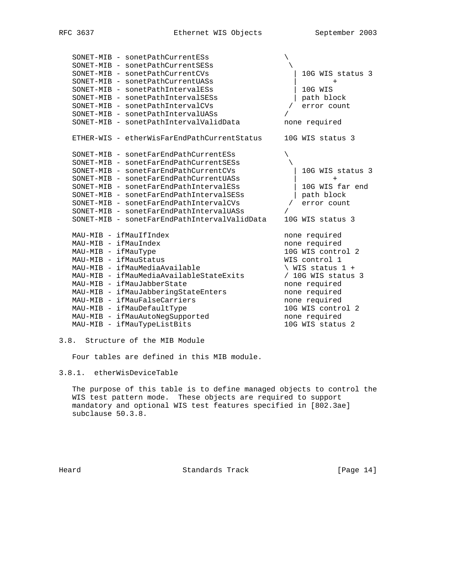|                        | SONET-MIB - sonetPathCurrentESs              |                             |
|------------------------|----------------------------------------------|-----------------------------|
|                        | SONET-MIB - sonetPathCurrentSESs             |                             |
|                        | SONET-MIB - sonetPathCurrentCVs              | 10G WIS status 3            |
|                        | SONET-MIB - sonetPathCurrentUASs             | $+$                         |
|                        | SONET-MIB - sonetPathIntervalESs             | 10G WIS                     |
|                        | SONET-MIB - sonetPathIntervalSESs            | path block                  |
|                        | SONET-MIB - sonetPathIntervalCVs             | error count                 |
|                        | SONET-MIB - sonetPathIntervalUASs            |                             |
|                        | SONET-MIB - sonetPathIntervalValidData       | none required               |
|                        | ETHER-WIS - etherWisFarEndPathCurrentStatus  | 10G WIS status 3            |
|                        | SONET-MIB - sonetFarEndPathCurrentESs        |                             |
|                        | SONET-MIB - sonetFarEndPathCurrentSESs       |                             |
|                        | SONET-MIB - sonetFarEndPathCurrentCVs        | 10G WIS status 3            |
|                        | SONET-MIB - sonetFarEndPathCurrentUASs       | $+$                         |
|                        | SONET-MIB - sonetFarEndPathIntervalESs       | 10G WIS far end             |
|                        | SONET-MIB - sonetFarEndPathIntervalSESs      | path block                  |
|                        | SONET-MIB - sonetFarEndPathIntervalCVs       | error count                 |
|                        | SONET-MIB - sonetFarEndPathIntervalUASs      |                             |
|                        | SONET-MIB - sonetFarEndPathIntervalValidData | 10G WIS status 3            |
| MAU-MIB - ifMauIfIndex |                                              | none required               |
| MAU-MIB - ifMauIndex   |                                              | none required               |
| MAU-MIB - ifMauType    |                                              | 10G WIS control 2           |
| MAU-MIB - ifMauStatus  |                                              | WIS control 1               |
|                        | MAU-MIB - ifMauMediaAvailable                | $\backslash$ WIS status 1 + |
|                        | MAU-MIB - ifMauMediaAvailableStateExits      | / 10G WIS status 3          |
|                        | MAU-MIB - ifMauJabberState                   | none required               |
|                        | MAU-MIB - ifMauJabberingStateEnters          | none required               |
|                        | MAU-MIB - ifMauFalseCarriers                 | none required               |
|                        | MAU-MIB - ifMauDefaultType                   | 10G WIS control 2           |
|                        | MAU-MIB - ifMauAutoNegSupported              | none required               |
|                        | MAU-MIB - ifMauTypeListBits                  | 10G WIS status 2            |
|                        |                                              |                             |

# 3.8. Structure of the MIB Module

Four tables are defined in this MIB module.

# 3.8.1. etherWisDeviceTable

 The purpose of this table is to define managed objects to control the WIS test pattern mode. These objects are required to support mandatory and optional WIS test features specified in [802.3ae] subclause 50.3.8.

Heard Standards Track [Page 14]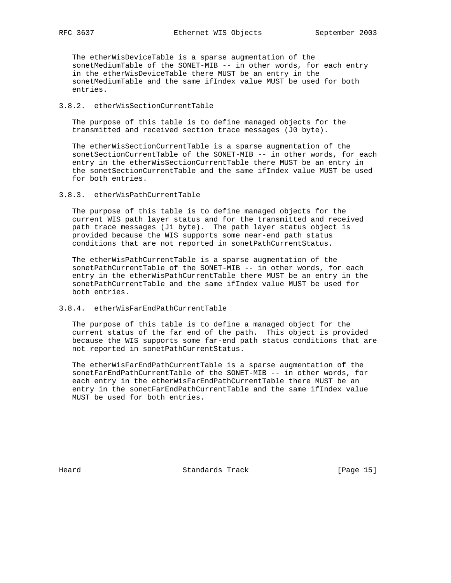The etherWisDeviceTable is a sparse augmentation of the sonetMediumTable of the SONET-MIB -- in other words, for each entry in the etherWisDeviceTable there MUST be an entry in the sonetMediumTable and the same ifIndex value MUST be used for both entries.

## 3.8.2. etherWisSectionCurrentTable

 The purpose of this table is to define managed objects for the transmitted and received section trace messages (J0 byte).

 The etherWisSectionCurrentTable is a sparse augmentation of the sonetSectionCurrentTable of the SONET-MIB -- in other words, for each entry in the etherWisSectionCurrentTable there MUST be an entry in the sonetSectionCurrentTable and the same ifIndex value MUST be used for both entries.

# 3.8.3. etherWisPathCurrentTable

 The purpose of this table is to define managed objects for the current WIS path layer status and for the transmitted and received path trace messages (J1 byte). The path layer status object is provided because the WIS supports some near-end path status conditions that are not reported in sonetPathCurrentStatus.

 The etherWisPathCurrentTable is a sparse augmentation of the sonetPathCurrentTable of the SONET-MIB -- in other words, for each entry in the etherWisPathCurrentTable there MUST be an entry in the sonetPathCurrentTable and the same ifIndex value MUST be used for both entries.

## 3.8.4. etherWisFarEndPathCurrentTable

 The purpose of this table is to define a managed object for the current status of the far end of the path. This object is provided because the WIS supports some far-end path status conditions that are not reported in sonetPathCurrentStatus.

 The etherWisFarEndPathCurrentTable is a sparse augmentation of the sonetFarEndPathCurrentTable of the SONET-MIB -- in other words, for each entry in the etherWisFarEndPathCurrentTable there MUST be an entry in the sonetFarEndPathCurrentTable and the same ifIndex value MUST be used for both entries.

Heard **Standards Track** [Page 15]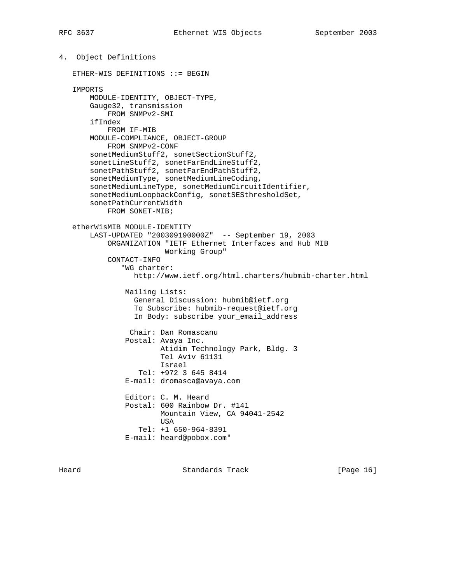4. Object Definitions ETHER-WIS DEFINITIONS ::= BEGIN IMPORTS MODULE-IDENTITY, OBJECT-TYPE, Gauge32, transmission FROM SNMPv2-SMI ifIndex FROM IF-MIB MODULE-COMPLIANCE, OBJECT-GROUP FROM SNMPv2-CONF sonetMediumStuff2, sonetSectionStuff2, sonetLineStuff2, sonetFarEndLineStuff2, sonetPathStuff2, sonetFarEndPathStuff2, sonetMediumType, sonetMediumLineCoding, sonetMediumLineType, sonetMediumCircuitIdentifier, sonetMediumLoopbackConfig, sonetSESthresholdSet, sonetPathCurrentWidth FROM SONET-MIB; etherWisMIB MODULE-IDENTITY LAST-UPDATED "200309190000Z" -- September 19, 2003 ORGANIZATION "IETF Ethernet Interfaces and Hub MIB Working Group" CONTACT-INFO "WG charter: http://www.ietf.org/html.charters/hubmib-charter.html Mailing Lists: General Discussion: hubmib@ietf.org To Subscribe: hubmib-request@ietf.org In Body: subscribe your\_email\_address Chair: Dan Romascanu Postal: Avaya Inc. Atidim Technology Park, Bldg. 3 Tel Aviv 61131 Israel Tel: +972 3 645 8414 E-mail: dromasca@avaya.com Editor: C. M. Heard Postal: 600 Rainbow Dr. #141 Mountain View, CA 94041-2542 USA Tel: +1 650-964-8391 E-mail: heard@pobox.com"

Heard **Standards Track** [Page 16]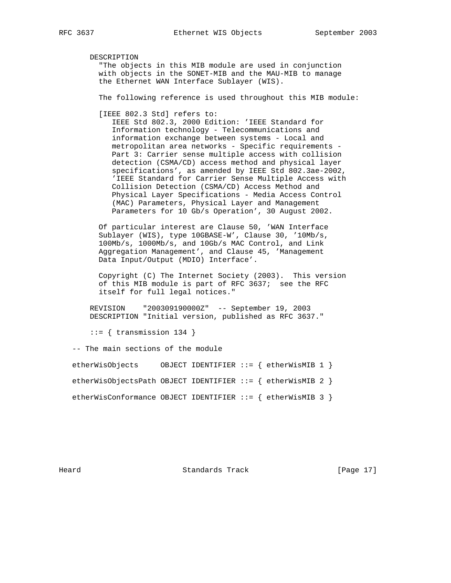DESCRIPTION

 "The objects in this MIB module are used in conjunction with objects in the SONET-MIB and the MAU-MIB to manage the Ethernet WAN Interface Sublayer (WIS).

The following reference is used throughout this MIB module:

[IEEE 802.3 Std] refers to:

 IEEE Std 802.3, 2000 Edition: 'IEEE Standard for Information technology - Telecommunications and information exchange between systems - Local and metropolitan area networks - Specific requirements - Part 3: Carrier sense multiple access with collision detection (CSMA/CD) access method and physical layer specifications', as amended by IEEE Std 802.3ae-2002, 'IEEE Standard for Carrier Sense Multiple Access with Collision Detection (CSMA/CD) Access Method and Physical Layer Specifications - Media Access Control (MAC) Parameters, Physical Layer and Management Parameters for 10 Gb/s Operation', 30 August 2002.

 Of particular interest are Clause 50, 'WAN Interface Sublayer (WIS), type 10GBASE-W', Clause 30, '10Mb/s, 100Mb/s, 1000Mb/s, and 10Gb/s MAC Control, and Link Aggregation Management', and Clause 45, 'Management Data Input/Output (MDIO) Interface'.

 Copyright (C) The Internet Society (2003). This version of this MIB module is part of RFC 3637; see the RFC itself for full legal notices."

 REVISION "200309190000Z" -- September 19, 2003 DESCRIPTION "Initial version, published as RFC 3637."

 $::=$  { transmission 134 }

-- The main sections of the module

etherWisObjects OBJECT IDENTIFIER ::= { etherWisMIB 1 }

etherWisObjectsPath OBJECT IDENTIFIER ::= { etherWisMIB 2 }

etherWisConformance OBJECT IDENTIFIER ::= { etherWisMIB 3 }

Heard Standards Track [Page 17]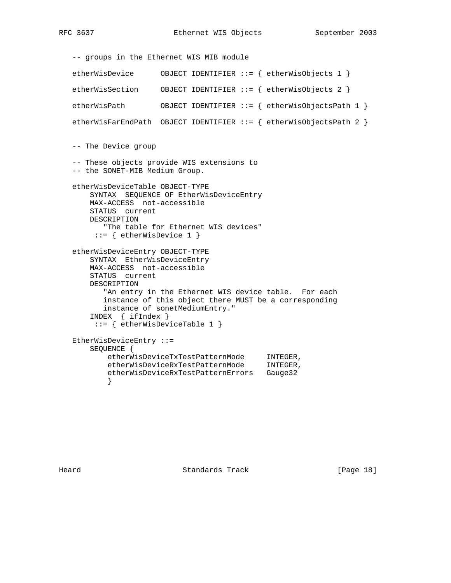```
 -- groups in the Ethernet WIS MIB module
   etherWisDevice OBJECT IDENTIFIER ::= { etherWisObjects 1 }
   etherWisSection OBJECT IDENTIFIER ::= { etherWisObjects 2 }
   etherWisPath OBJECT IDENTIFIER ::= { etherWisObjectsPath 1 }
   etherWisFarEndPath OBJECT IDENTIFIER ::= { etherWisObjectsPath 2 }
   -- The Device group
   -- These objects provide WIS extensions to
   -- the SONET-MIB Medium Group.
   etherWisDeviceTable OBJECT-TYPE
       SYNTAX SEQUENCE OF EtherWisDeviceEntry
       MAX-ACCESS not-accessible
       STATUS current
       DESCRIPTION
          "The table for Ethernet WIS devices"
        ::= { etherWisDevice 1 }
   etherWisDeviceEntry OBJECT-TYPE
       SYNTAX EtherWisDeviceEntry
       MAX-ACCESS not-accessible
       STATUS current
       DESCRIPTION
         "An entry in the Ethernet WIS device table. For each
          instance of this object there MUST be a corresponding
          instance of sonetMediumEntry."
       INDEX { ifIndex }
        ::= { etherWisDeviceTable 1 }
   EtherWisDeviceEntry ::=
       SEQUENCE {
 etherWisDeviceTxTestPatternMode INTEGER,
 etherWisDeviceRxTestPatternMode INTEGER,
           etherWisDeviceRxTestPatternErrors Gauge32
 }
```
Heard **Standards Track** [Page 18]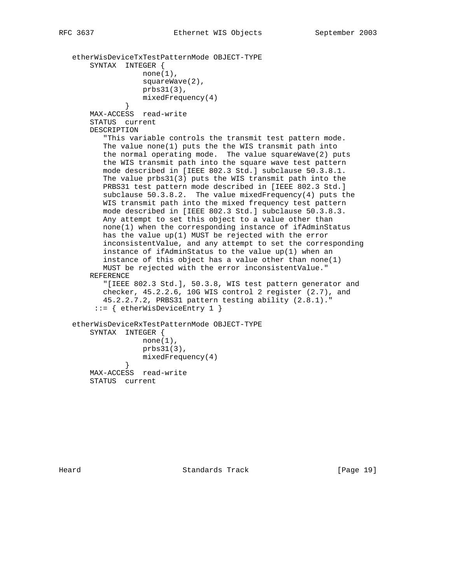```
 etherWisDeviceTxTestPatternMode OBJECT-TYPE
       SYNTAX INTEGER {
                  none(1),
                   squareWave(2),
                   prbs31(3),
                   mixedFrequency(4)
 }
       MAX-ACCESS read-write
       STATUS current
       DESCRIPTION
           "This variable controls the transmit test pattern mode.
          The value none(1) puts the the WIS transmit path into
          the normal operating mode. The value squareWave(2) puts
          the WIS transmit path into the square wave test pattern
          mode described in [IEEE 802.3 Std.] subclause 50.3.8.1.
          The value prbs31(3) puts the WIS transmit path into the
         PRBS31 test pattern mode described in [IEEE 802.3 Std.]
          subclause 50.3.8.2. The value mixedFrequency(4) puts the
          WIS transmit path into the mixed frequency test pattern
          mode described in [IEEE 802.3 Std.] subclause 50.3.8.3.
          Any attempt to set this object to a value other than
          none(1) when the corresponding instance of ifAdminStatus
          has the value up(1) MUST be rejected with the error
          inconsistentValue, and any attempt to set the corresponding
          instance of ifAdminStatus to the value up(1) when an
          instance of this object has a value other than none(1)
          MUST be rejected with the error inconsistentValue."
       REFERENCE
          "[IEEE 802.3 Std.], 50.3.8, WIS test pattern generator and
          checker, 45.2.2.6, 10G WIS control 2 register (2.7), and
          45.2.2.7.2, PRBS31 pattern testing ability (2.8.1)."
         ::= { etherWisDeviceEntry 1 }
   etherWisDeviceRxTestPatternMode OBJECT-TYPE
       SYNTAX INTEGER {
                  none(1),
                   prbs31(3),
              mixedFrequency(4)<br>}
 }
       MAX-ACCESS read-write
```
STATUS current

Heard **Standards Track** [Page 19]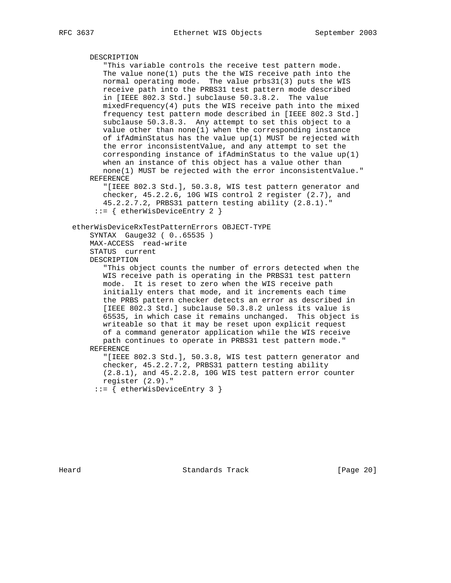```
 DESCRIPTION
        "This variable controls the receive test pattern mode.
        The value none(1) puts the the WIS receive path into the
        normal operating mode. The value prbs31(3) puts the WIS
        receive path into the PRBS31 test pattern mode described
        in [IEEE 802.3 Std.] subclause 50.3.8.2. The value
       mixedFrequency(4) puts the WIS receive path into the mixed
       frequency test pattern mode described in [IEEE 802.3 Std.]
       subclause 50.3.8.3. Any attempt to set this object to a
       value other than none(1) when the corresponding instance
       of ifAdminStatus has the value up(1) MUST be rejected with
       the error inconsistentValue, and any attempt to set the
        corresponding instance of ifAdminStatus to the value up(1)
        when an instance of this object has a value other than
        none(1) MUST be rejected with the error inconsistentValue."
    REFERENCE
        "[IEEE 802.3 Std.], 50.3.8, WIS test pattern generator and
        checker, 45.2.2.6, 10G WIS control 2 register (2.7), and
        45.2.2.7.2, PRBS31 pattern testing ability (2.8.1)."
      ::= { etherWisDeviceEntry 2 }
 etherWisDeviceRxTestPatternErrors OBJECT-TYPE
    SYNTAX Gauge32 ( 0..65535 )
    MAX-ACCESS read-write
    STATUS current
    DESCRIPTION
        "This object counts the number of errors detected when the
        WIS receive path is operating in the PRBS31 test pattern
        mode. It is reset to zero when the WIS receive path
        initially enters that mode, and it increments each time
       the PRBS pattern checker detects an error as described in
       [IEEE 802.3 Std.] subclause 50.3.8.2 unless its value is
        65535, in which case it remains unchanged. This object is
        writeable so that it may be reset upon explicit request
        of a command generator application while the WIS receive
       path continues to operate in PRBS31 test pattern mode."
    REFERENCE
       "[IEEE 802.3 Std.], 50.3.8, WIS test pattern generator and
        checker, 45.2.2.7.2, PRBS31 pattern testing ability
        (2.8.1), and 45.2.2.8, 10G WIS test pattern error counter
       register (2.9)."
      ::= { etherWisDeviceEntry 3 }
```
Heard **Standards Track** [Page 20]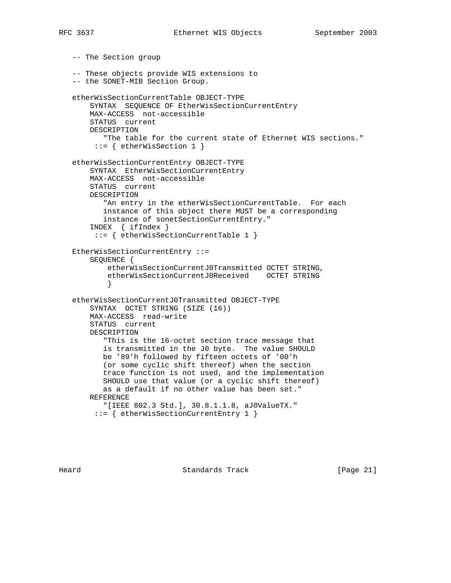-- The Section group -- These objects provide WIS extensions to -- the SONET-MIB Section Group. etherWisSectionCurrentTable OBJECT-TYPE SYNTAX SEQUENCE OF EtherWisSectionCurrentEntry MAX-ACCESS not-accessible STATUS current DESCRIPTION "The table for the current state of Ethernet WIS sections." ::= { etherWisSection 1 } etherWisSectionCurrentEntry OBJECT-TYPE SYNTAX EtherWisSectionCurrentEntry MAX-ACCESS not-accessible STATUS current DESCRIPTION "An entry in the etherWisSectionCurrentTable. For each instance of this object there MUST be a corresponding instance of sonetSectionCurrentEntry." INDEX { ifIndex } ::= { etherWisSectionCurrentTable 1 } EtherWisSectionCurrentEntry ::= SEQUENCE { etherWisSectionCurrentJ0Transmitted OCTET STRING, etherWisSectionCurrentJ0Received OCTET STRING } etherWisSectionCurrentJ0Transmitted OBJECT-TYPE SYNTAX OCTET STRING (SIZE (16)) MAX-ACCESS read-write STATUS current DESCRIPTION "This is the 16-octet section trace message that is transmitted in the J0 byte. The value SHOULD be '89'h followed by fifteen octets of '00'h (or some cyclic shift thereof) when the section trace function is not used, and the implementation SHOULD use that value (or a cyclic shift thereof) as a default if no other value has been set." REFERENCE "[IEEE 802.3 Std.], 30.8.1.1.8, aJ0ValueTX." ::= { etherWisSectionCurrentEntry 1 }

Heard **Standards Track** [Page 21]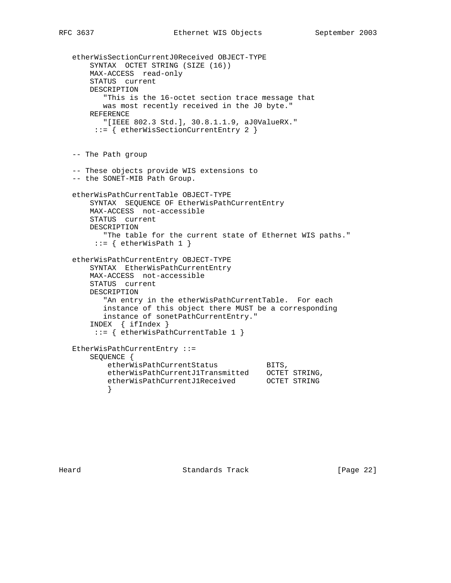```
 etherWisSectionCurrentJ0Received OBJECT-TYPE
       SYNTAX OCTET STRING (SIZE (16))
       MAX-ACCESS read-only
       STATUS current
       DESCRIPTION
          "This is the 16-octet section trace message that
          was most recently received in the J0 byte."
       REFERENCE
          "[IEEE 802.3 Std.], 30.8.1.1.9, aJ0ValueRX."
        ::= { etherWisSectionCurrentEntry 2 }
   -- The Path group
   -- These objects provide WIS extensions to
   -- the SONET-MIB Path Group.
   etherWisPathCurrentTable OBJECT-TYPE
       SYNTAX SEQUENCE OF EtherWisPathCurrentEntry
       MAX-ACCESS not-accessible
       STATUS current
       DESCRIPTION
          "The table for the current state of Ethernet WIS paths."
       ::= { etherWisPath 1 }
   etherWisPathCurrentEntry OBJECT-TYPE
       SYNTAX EtherWisPathCurrentEntry
       MAX-ACCESS not-accessible
       STATUS current
       DESCRIPTION
          "An entry in the etherWisPathCurrentTable. For each
          instance of this object there MUST be a corresponding
          instance of sonetPathCurrentEntry."
       INDEX { ifIndex }
        ::= { etherWisPathCurrentTable 1 }
   EtherWisPathCurrentEntry ::=
      SEQUENCE {<br>etherWisPathCurrentStatus
etherWisPathCurrentStatus BITS,
 etherWisPathCurrentJ1Transmitted OCTET STRING,
          etherWisPathCurrentJ1Received OCTET STRING
 }
```
Heard **Standards Track** [Page 22]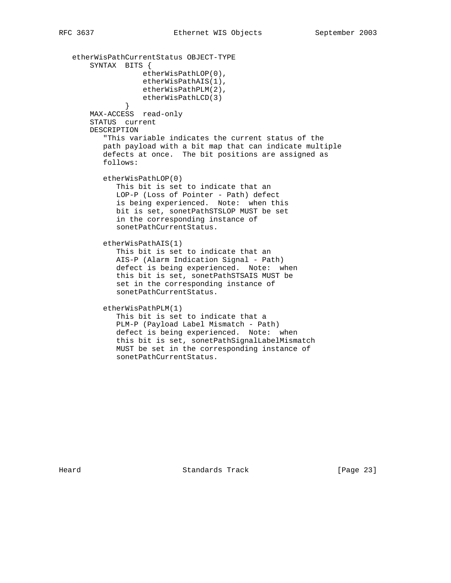```
 etherWisPathCurrentStatus OBJECT-TYPE
       SYNTAX BITS {
                   etherWisPathLOP(0),
                   etherWisPathAIS(1),
                   etherWisPathPLM(2),
               etherWisPathLCD(3)<br>}
 }
       MAX-ACCESS read-only
       STATUS current
       DESCRIPTION
          "This variable indicates the current status of the
          path payload with a bit map that can indicate multiple
          defects at once. The bit positions are assigned as
          follows:
          etherWisPathLOP(0)
             This bit is set to indicate that an
             LOP-P (Loss of Pointer - Path) defect
             is being experienced. Note: when this
             bit is set, sonetPathSTSLOP MUST be set
             in the corresponding instance of
             sonetPathCurrentStatus.
          etherWisPathAIS(1)
             This bit is set to indicate that an
             AIS-P (Alarm Indication Signal - Path)
             defect is being experienced. Note: when
             this bit is set, sonetPathSTSAIS MUST be
             set in the corresponding instance of
             sonetPathCurrentStatus.
          etherWisPathPLM(1)
             This bit is set to indicate that a
             PLM-P (Payload Label Mismatch - Path)
             defect is being experienced. Note: when
             this bit is set, sonetPathSignalLabelMismatch
             MUST be set in the corresponding instance of
             sonetPathCurrentStatus.
```
Heard **Example 23** Standards Track **Example 23** [Page 23]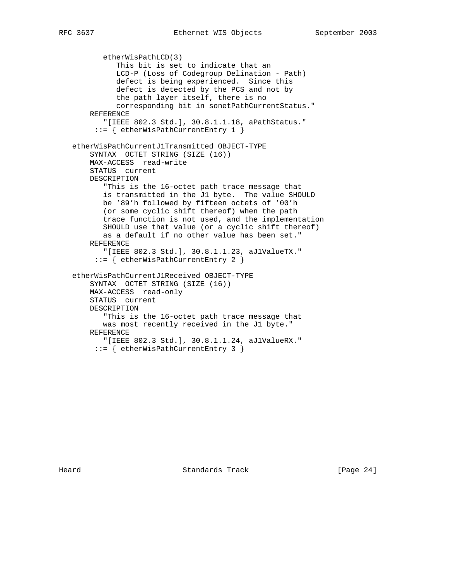etherWisPathLCD(3) This bit is set to indicate that an LCD-P (Loss of Codegroup Delination - Path) defect is being experienced. Since this defect is detected by the PCS and not by the path layer itself, there is no corresponding bit in sonetPathCurrentStatus." REFERENCE "[IEEE 802.3 Std.], 30.8.1.1.18, aPathStatus." ::= { etherWisPathCurrentEntry 1 } etherWisPathCurrentJ1Transmitted OBJECT-TYPE SYNTAX OCTET STRING (SIZE (16)) MAX-ACCESS read-write STATUS current DESCRIPTION "This is the 16-octet path trace message that is transmitted in the J1 byte. The value SHOULD be '89'h followed by fifteen octets of '00'h (or some cyclic shift thereof) when the path trace function is not used, and the implementation SHOULD use that value (or a cyclic shift thereof) as a default if no other value has been set." REFERENCE "[IEEE 802.3 Std.], 30.8.1.1.23, aJ1ValueTX." ::= { etherWisPathCurrentEntry 2 } etherWisPathCurrentJ1Received OBJECT-TYPE SYNTAX OCTET STRING (SIZE (16)) MAX-ACCESS read-only STATUS current DESCRIPTION "This is the 16-octet path trace message that was most recently received in the J1 byte." REFERENCE "[IEEE 802.3 Std.], 30.8.1.1.24, aJ1ValueRX." ::= { etherWisPathCurrentEntry 3 }

Heard Standards Track [Page 24]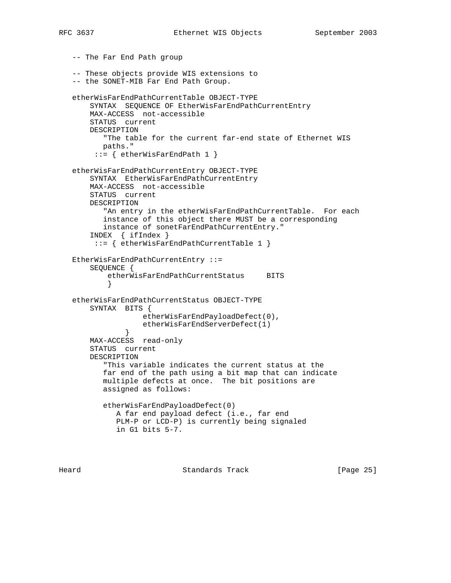```
 -- The Far End Path group
   -- These objects provide WIS extensions to
   -- the SONET-MIB Far End Path Group.
   etherWisFarEndPathCurrentTable OBJECT-TYPE
       SYNTAX SEQUENCE OF EtherWisFarEndPathCurrentEntry
       MAX-ACCESS not-accessible
       STATUS current
       DESCRIPTION
          "The table for the current far-end state of Ethernet WIS
          paths."
       ::= { etherWisFarEndPath 1 }
   etherWisFarEndPathCurrentEntry OBJECT-TYPE
       SYNTAX EtherWisFarEndPathCurrentEntry
       MAX-ACCESS not-accessible
       STATUS current
       DESCRIPTION
          "An entry in the etherWisFarEndPathCurrentTable. For each
          instance of this object there MUST be a corresponding
          instance of sonetFarEndPathCurrentEntry."
       INDEX { ifIndex }
        ::= { etherWisFarEndPathCurrentTable 1 }
   EtherWisFarEndPathCurrentEntry ::=
       SEQUENCE {
          etherWisFarEndPathCurrentStatus BITS
 }
   etherWisFarEndPathCurrentStatus OBJECT-TYPE
       SYNTAX BITS {
                   etherWisFarEndPayloadDefect(0),
              etherWisFarEndServerDefect(1)<br>}
 }
       MAX-ACCESS read-only
       STATUS current
       DESCRIPTION
          "This variable indicates the current status at the
          far end of the path using a bit map that can indicate
          multiple defects at once. The bit positions are
          assigned as follows:
          etherWisFarEndPayloadDefect(0)
             A far end payload defect (i.e., far end
             PLM-P or LCD-P) is currently being signaled
             in G1 bits 5-7.
```
Heard **Example 25** Standards Track **Example 26** [Page 25]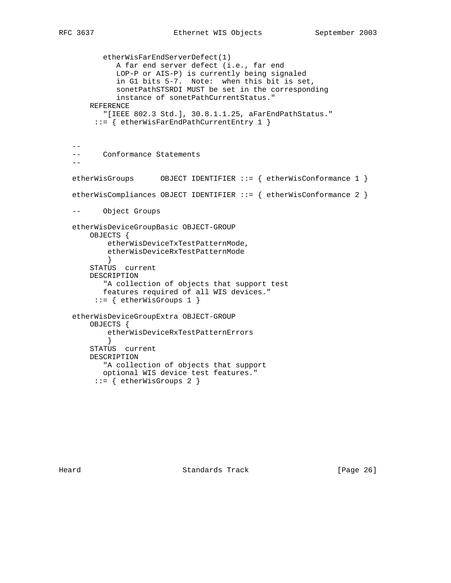etherWisFarEndServerDefect(1) A far end server defect (i.e., far end LOP-P or AIS-P) is currently being signaled in G1 bits 5-7. Note: when this bit is set, sonetPathSTSRDI MUST be set in the corresponding instance of sonetPathCurrentStatus." REFERENCE "[IEEE 802.3 Std.], 30.8.1.1.25, aFarEndPathStatus." ::= { etherWisFarEndPathCurrentEntry 1 }  $- -$  -- Conformance Statements - etherWisGroups OBJECT IDENTIFIER ::= { etherWisConformance 1 } etherWisCompliances OBJECT IDENTIFIER ::= { etherWisConformance 2 } -- Object Groups etherWisDeviceGroupBasic OBJECT-GROUP OBJECTS { etherWisDeviceTxTestPatternMode, etherWisDeviceRxTestPatternMode } STATUS current DESCRIPTION "A collection of objects that support test features required of all WIS devices." ::= { etherWisGroups 1 } etherWisDeviceGroupExtra OBJECT-GROUP OBJECTS { etherWisDeviceRxTestPatternErrors } STATUS current DESCRIPTION "A collection of objects that support optional WIS device test features." ::= { etherWisGroups 2 }

Heard **Example 26** Standards Track **Example 26** [Page 26]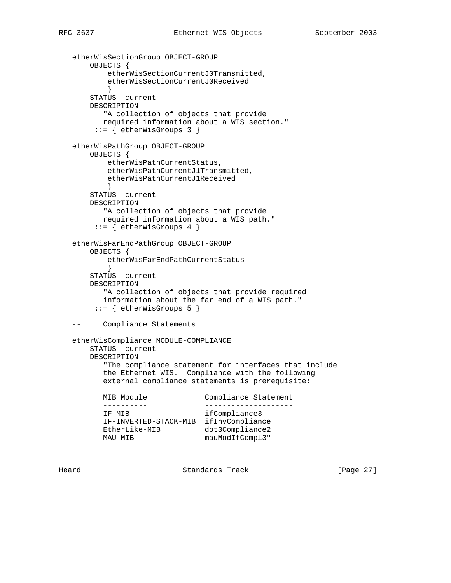```
 etherWisSectionGroup OBJECT-GROUP
```

```
 OBJECTS {
           etherWisSectionCurrentJ0Transmitted,
           etherWisSectionCurrentJ0Received
 }
       STATUS current
       DESCRIPTION
          "A collection of objects that provide
          required information about a WIS section."
        ::= { etherWisGroups 3 }
   etherWisPathGroup OBJECT-GROUP
       OBJECTS {
           etherWisPathCurrentStatus,
           etherWisPathCurrentJ1Transmitted,
           etherWisPathCurrentJ1Received
 }
       STATUS current
       DESCRIPTION
          "A collection of objects that provide
          required information about a WIS path."
        ::= { etherWisGroups 4 }
   etherWisFarEndPathGroup OBJECT-GROUP
       OBJECTS {
           etherWisFarEndPathCurrentStatus
 }
       STATUS current
       DESCRIPTION
          "A collection of objects that provide required
          information about the far end of a WIS path."
       ::= { etherWisGroups 5 }
   -- Compliance Statements
   etherWisCompliance MODULE-COMPLIANCE
       STATUS current
       DESCRIPTION
          "The compliance statement for interfaces that include
          the Ethernet WIS. Compliance with the following
          external compliance statements is prerequisite:
                              Compliance Statement
         ---------- --------------------
          IF-MIB ifCompliance3
         IF-INVERTED-STACK-MIB ifInvCompliance
EtherLike-MIB dot3Compliance2
MAU-MIB mauModIfCompl3"
```
Heard Standards Track [Page 27]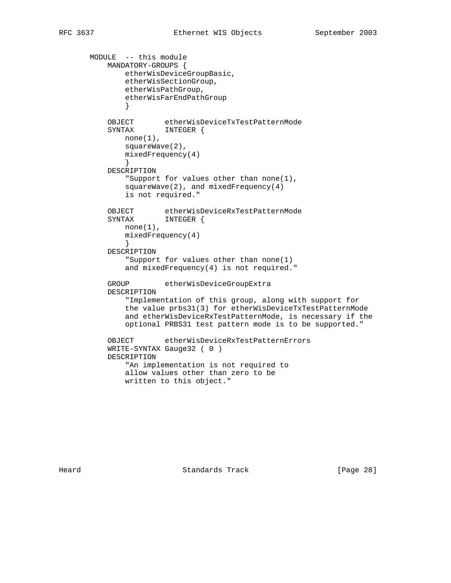```
 MODULE -- this module
          MANDATORY-GROUPS {
             etherWisDeviceGroupBasic,
              etherWisSectionGroup,
              etherWisPathGroup,
              etherWisFarEndPathGroup
 }
 OBJECT etherWisDeviceTxTestPatternMode
 SYNTAX INTEGER {
             none(1),
              squareWave(2),
              mixedFrequency(4)
 }
          DESCRIPTION
              "Support for values other than none(1),
              squareWave(2), and mixedFrequency(4)
              is not required."
 OBJECT etherWisDeviceRxTestPatternMode
 SYNTAX INTEGER {
             none(1),
              mixedFrequency(4)
 }
          DESCRIPTION
              "Support for values other than none(1)
              and mixedFrequency(4) is not required."
          GROUP etherWisDeviceGroupExtra
          DESCRIPTION
              "Implementation of this group, along with support for
              the value prbs31(3) for etherWisDeviceTxTestPatternMode
              and etherWisDeviceRxTestPatternMode, is necessary if the
              optional PRBS31 test pattern mode is to be supported."
          OBJECT etherWisDeviceRxTestPatternErrors
          WRITE-SYNTAX Gauge32 ( 0 )
          DESCRIPTION
              "An implementation is not required to
              allow values other than zero to be
              written to this object."
```
Heard **Example 28** Standards Track **Example 28** [Page 28]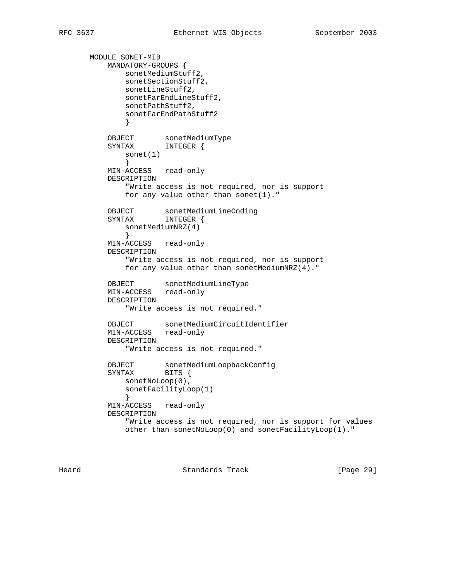```
 MODULE SONET-MIB
          MANDATORY-GROUPS {
            sonetMediumStuff2,
             sonetSectionStuff2,
             sonetLineStuff2,
             sonetFarEndLineStuff2,
             sonetPathStuff2,
             sonetFarEndPathStuff2
 }
 OBJECT sonetMediumType
 SYNTAX INTEGER {
             sonet(1)
 }
          MIN-ACCESS read-only
          DESCRIPTION
             "Write access is not required, nor is support
            for any value other than sonet(1)."
 OBJECT sonetMediumLineCoding
 SYNTAX INTEGER {
             sonetMediumNRZ(4)
 }
          MIN-ACCESS read-only
          DESCRIPTION
             "Write access is not required, nor is support
             for any value other than sonetMediumNRZ(4)."
 OBJECT sonetMediumLineType
 MIN-ACCESS read-only
          DESCRIPTION
             "Write access is not required."
          OBJECT sonetMediumCircuitIdentifier
          MIN-ACCESS read-only
          DESCRIPTION
             "Write access is not required."
 OBJECT sonetMediumLoopbackConfig
 SYNTAX BITS {
            sonetNoLoop(0),
             sonetFacilityLoop(1)
 }
          MIN-ACCESS read-only
          DESCRIPTION
             "Write access is not required, nor is support for values
             other than sonetNoLoop(0) and sonetFacilityLoop(1)."
```
Heard **Standards Track** [Page 29]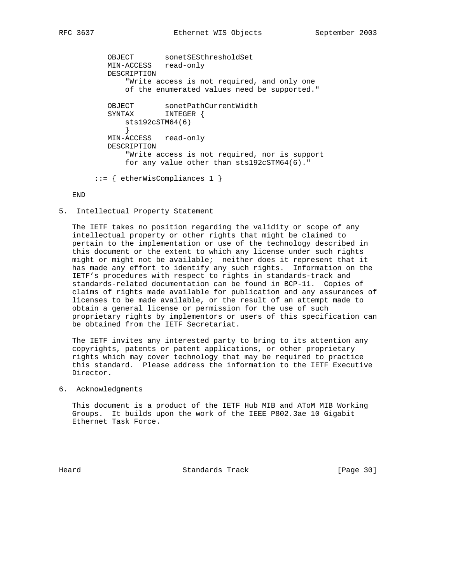OBJECT sonetSESthresholdSet MIN-ACCESS read-only DESCRIPTION "Write access is not required, and only one of the enumerated values need be supported." OBJECT sonetPathCurrentWidth SYNTAX INTEGER { sts192cSTM64(6) } MIN-ACCESS read-only DESCRIPTION "Write access is not required, nor is support for any value other than sts192cSTM64(6)." ::= { etherWisCompliances 1 }

#### END

5. Intellectual Property Statement

 The IETF takes no position regarding the validity or scope of any intellectual property or other rights that might be claimed to pertain to the implementation or use of the technology described in this document or the extent to which any license under such rights might or might not be available; neither does it represent that it has made any effort to identify any such rights. Information on the IETF's procedures with respect to rights in standards-track and standards-related documentation can be found in BCP-11. Copies of claims of rights made available for publication and any assurances of licenses to be made available, or the result of an attempt made to obtain a general license or permission for the use of such proprietary rights by implementors or users of this specification can be obtained from the IETF Secretariat.

 The IETF invites any interested party to bring to its attention any copyrights, patents or patent applications, or other proprietary rights which may cover technology that may be required to practice this standard. Please address the information to the IETF Executive Director.

6. Acknowledgments

 This document is a product of the IETF Hub MIB and AToM MIB Working Groups. It builds upon the work of the IEEE P802.3ae 10 Gigabit Ethernet Task Force.

Heard Standards Track [Page 30]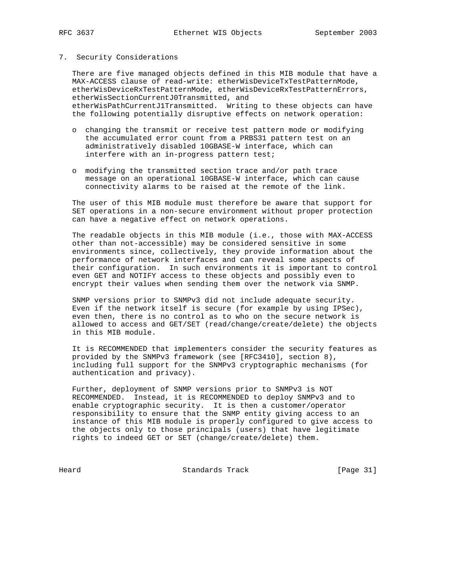### 7. Security Considerations

 There are five managed objects defined in this MIB module that have a MAX-ACCESS clause of read-write: etherWisDeviceTxTestPatternMode, etherWisDeviceRxTestPatternMode, etherWisDeviceRxTestPatternErrors, etherWisSectionCurrentJ0Transmitted, and etherWisPathCurrentJ1Transmitted. Writing to these objects can have the following potentially disruptive effects on network operation:

- o changing the transmit or receive test pattern mode or modifying the accumulated error count from a PRBS31 pattern test on an administratively disabled 10GBASE-W interface, which can interfere with an in-progress pattern test;
- o modifying the transmitted section trace and/or path trace message on an operational 10GBASE-W interface, which can cause connectivity alarms to be raised at the remote of the link.

 The user of this MIB module must therefore be aware that support for SET operations in a non-secure environment without proper protection can have a negative effect on network operations.

 The readable objects in this MIB module (i.e., those with MAX-ACCESS other than not-accessible) may be considered sensitive in some environments since, collectively, they provide information about the performance of network interfaces and can reveal some aspects of their configuration. In such environments it is important to control even GET and NOTIFY access to these objects and possibly even to encrypt their values when sending them over the network via SNMP.

 SNMP versions prior to SNMPv3 did not include adequate security. Even if the network itself is secure (for example by using IPSec), even then, there is no control as to who on the secure network is allowed to access and GET/SET (read/change/create/delete) the objects in this MIB module.

 It is RECOMMENDED that implementers consider the security features as provided by the SNMPv3 framework (see [RFC3410], section 8), including full support for the SNMPv3 cryptographic mechanisms (for authentication and privacy).

 Further, deployment of SNMP versions prior to SNMPv3 is NOT RECOMMENDED. Instead, it is RECOMMENDED to deploy SNMPv3 and to enable cryptographic security. It is then a customer/operator responsibility to ensure that the SNMP entity giving access to an instance of this MIB module is properly configured to give access to the objects only to those principals (users) that have legitimate rights to indeed GET or SET (change/create/delete) them.

Heard Standards Track [Page 31]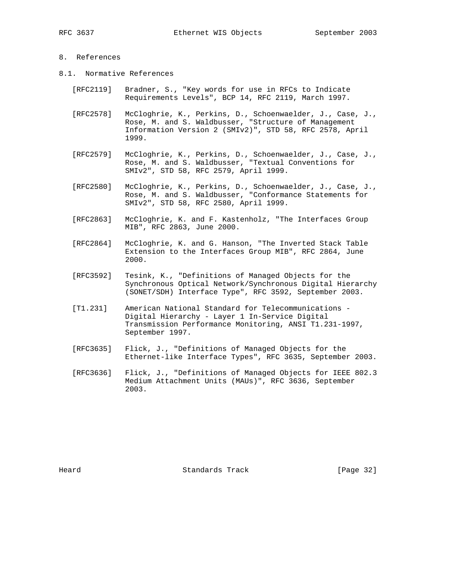# 8. References

- 8.1. Normative References
	- [RFC2119] Bradner, S., "Key words for use in RFCs to Indicate Requirements Levels", BCP 14, RFC 2119, March 1997.
	- [RFC2578] McCloghrie, K., Perkins, D., Schoenwaelder, J., Case, J., Rose, M. and S. Waldbusser, "Structure of Management Information Version 2 (SMIv2)", STD 58, RFC 2578, April 1999.
	- [RFC2579] McCloghrie, K., Perkins, D., Schoenwaelder, J., Case, J., Rose, M. and S. Waldbusser, "Textual Conventions for SMIv2", STD 58, RFC 2579, April 1999.
	- [RFC2580] McCloghrie, K., Perkins, D., Schoenwaelder, J., Case, J., Rose, M. and S. Waldbusser, "Conformance Statements for SMIv2", STD 58, RFC 2580, April 1999.
	- [RFC2863] McCloghrie, K. and F. Kastenholz, "The Interfaces Group MIB", RFC 2863, June 2000.
	- [RFC2864] McCloghrie, K. and G. Hanson, "The Inverted Stack Table Extension to the Interfaces Group MIB", RFC 2864, June 2000.
	- [RFC3592] Tesink, K., "Definitions of Managed Objects for the Synchronous Optical Network/Synchronous Digital Hierarchy (SONET/SDH) Interface Type", RFC 3592, September 2003.
	- [T1.231] American National Standard for Telecommunications Digital Hierarchy - Layer 1 In-Service Digital Transmission Performance Monitoring, ANSI T1.231-1997, September 1997.
	- [RFC3635] Flick, J., "Definitions of Managed Objects for the Ethernet-like Interface Types", RFC 3635, September 2003.
	- [RFC3636] Flick, J., "Definitions of Managed Objects for IEEE 802.3 Medium Attachment Units (MAUs)", RFC 3636, September 2003.

Heard **Standards Track** [Page 32]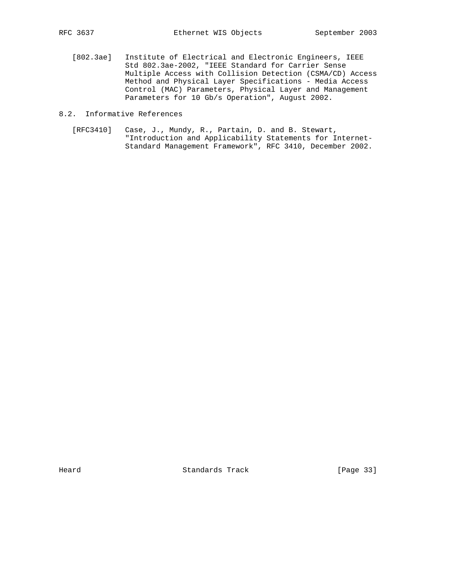[802.3ae] Institute of Electrical and Electronic Engineers, IEEE Std 802.3ae-2002, "IEEE Standard for Carrier Sense Multiple Access with Collision Detection (CSMA/CD) Access Method and Physical Layer Specifications - Media Access Control (MAC) Parameters, Physical Layer and Management Parameters for 10 Gb/s Operation", August 2002.

# 8.2. Informative References

 [RFC3410] Case, J., Mundy, R., Partain, D. and B. Stewart, "Introduction and Applicability Statements for Internet- Standard Management Framework", RFC 3410, December 2002.

Heard Standards Track [Page 33]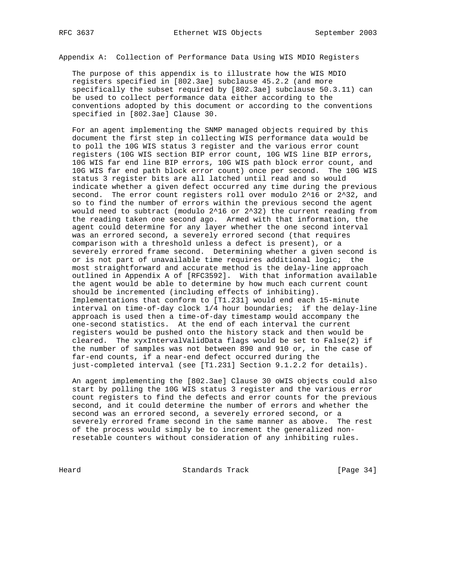Appendix A: Collection of Performance Data Using WIS MDIO Registers

 The purpose of this appendix is to illustrate how the WIS MDIO registers specified in [802.3ae] subclause 45.2.2 (and more specifically the subset required by [802.3ae] subclause 50.3.11) can be used to collect performance data either according to the conventions adopted by this document or according to the conventions specified in [802.3ae] Clause 30.

 For an agent implementing the SNMP managed objects required by this document the first step in collecting WIS performance data would be to poll the 10G WIS status 3 register and the various error count registers (10G WIS section BIP error count, 10G WIS line BIP errors, 10G WIS far end line BIP errors, 10G WIS path block error count, and 10G WIS far end path block error count) once per second. The 10G WIS status 3 register bits are all latched until read and so would indicate whether a given defect occurred any time during the previous second. The error count registers roll over modulo 2^16 or 2^32, and so to find the number of errors within the previous second the agent would need to subtract (modulo 2^16 or 2^32) the current reading from the reading taken one second ago. Armed with that information, the agent could determine for any layer whether the one second interval was an errored second, a severely errored second (that requires comparison with a threshold unless a defect is present), or a severely errored frame second. Determining whether a given second is or is not part of unavailable time requires additional logic; the most straightforward and accurate method is the delay-line approach outlined in Appendix A of [RFC3592]. With that information available the agent would be able to determine by how much each current count should be incremented (including effects of inhibiting). Implementations that conform to [T1.231] would end each 15-minute interval on time-of-day clock 1/4 hour boundaries; if the delay-line approach is used then a time-of-day timestamp would accompany the one-second statistics. At the end of each interval the current registers would be pushed onto the history stack and then would be cleared. The xyxIntervalValidData flags would be set to False(2) if the number of samples was not between 890 and 910 or, in the case of far-end counts, if a near-end defect occurred during the just-completed interval (see [T1.231] Section 9.1.2.2 for details).

 An agent implementing the [802.3ae] Clause 30 oWIS objects could also start by polling the 10G WIS status 3 register and the various error count registers to find the defects and error counts for the previous second, and it could determine the number of errors and whether the second was an errored second, a severely errored second, or a severely errored frame second in the same manner as above. The rest of the process would simply be to increment the generalized non resetable counters without consideration of any inhibiting rules.

Heard Standards Track [Page 34]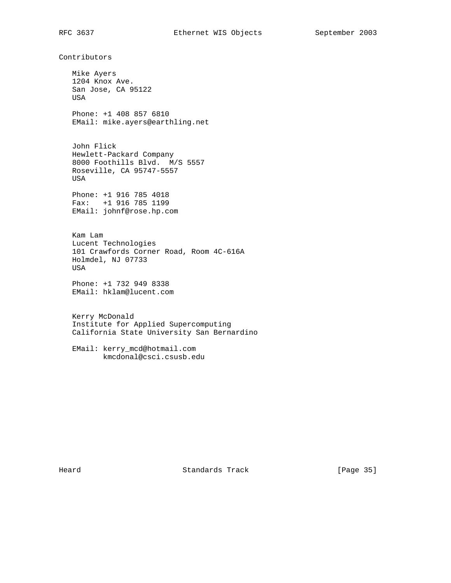Contributors

 Mike Ayers 1204 Knox Ave. San Jose, CA 95122 USA Phone: +1 408 857 6810 EMail: mike.ayers@earthling.net John Flick Hewlett-Packard Company 8000 Foothills Blvd. M/S 5557 Roseville, CA 95747-5557 USA Phone: +1 916 785 4018 Fax: +1 916 785 1199 EMail: johnf@rose.hp.com Kam Lam Lucent Technologies 101 Crawfords Corner Road, Room 4C-616A Holmdel, NJ 07733 USA Phone: +1 732 949 8338 EMail: hklam@lucent.com Kerry McDonald

 Institute for Applied Supercomputing California State University San Bernardino

 EMail: kerry\_mcd@hotmail.com kmcdonal@csci.csusb.edu

Heard Standards Track [Page 35]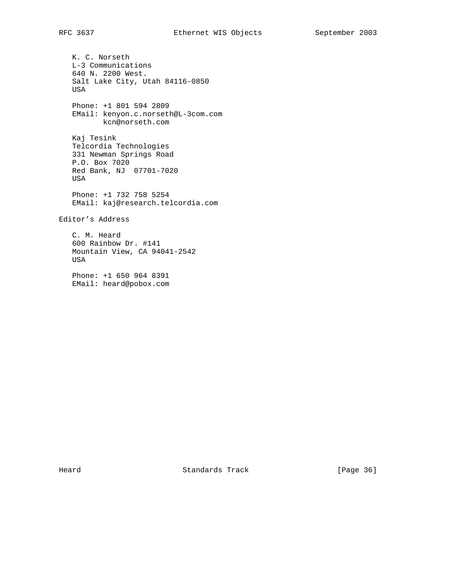K. C. Norseth L-3 Communications 640 N. 2200 West. Salt Lake City, Utah 84116-0850 USA Phone: +1 801 594 2809 EMail: kenyon.c.norseth@L-3com.com kcn@norseth.com Kaj Tesink Telcordia Technologies 331 Newman Springs Road P.O. Box 7020 Red Bank, NJ 07701-7020 USA Phone: +1 732 758 5254 EMail: kaj@research.telcordia.com Editor's Address C. M. Heard 600 Rainbow Dr. #141 Mountain View, CA 94041-2542 USA Phone: +1 650 964 8391 EMail: heard@pobox.com

Heard Standards Track [Page 36]